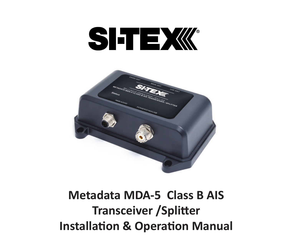# **SHTEX ®**



## **Metadata MDA-5 Class B AIS Transceiver /Splitter Installation & Operation Manual**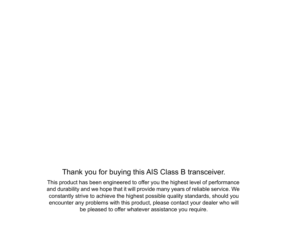## Thank you for buying this AIS Class B transceiver.

This product has been engineered to offer you the highest level of performance and durability and we hope that it will provide many years of reliable service. We constantly strive to achieve the highest possible quality standards, should you encounter any problems with this product, please contact your dealer who will be pleased to offer whatever assistance you require.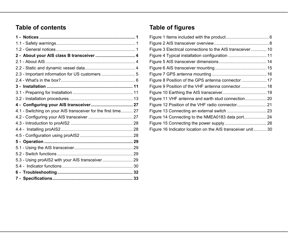## **Table of contents Table of figures**

| 2 - About your AIS class B transceiver  4                     |  |
|---------------------------------------------------------------|--|
|                                                               |  |
|                                                               |  |
| 2.3 - Important information for US customers  5               |  |
|                                                               |  |
|                                                               |  |
|                                                               |  |
|                                                               |  |
|                                                               |  |
| 4.1 - Switching on your AIS transceiver for the first time 27 |  |
|                                                               |  |
|                                                               |  |
|                                                               |  |
|                                                               |  |
|                                                               |  |
|                                                               |  |
|                                                               |  |
| 5.3 - Using proAIS2 with your AIS transceiver  29             |  |
|                                                               |  |
|                                                               |  |
|                                                               |  |

| Figure 3 Electrical connections to the AIS transceiver  10 |  |
|------------------------------------------------------------|--|
| Figure 4 Typical installation configuration  11            |  |
|                                                            |  |
|                                                            |  |
|                                                            |  |
|                                                            |  |
|                                                            |  |
|                                                            |  |
|                                                            |  |
|                                                            |  |
|                                                            |  |
|                                                            |  |
|                                                            |  |
| Figure 16 Indicator location on the AIS transceiver unit30 |  |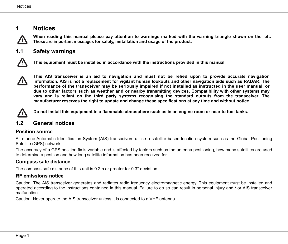#### <span id="page-3-0"></span>**1 Notices**

**When reading this manual please pay attention to warnings marked with the warning triangle shown on the left. These are important messages for safety, installation and usage of the product. !**

#### <span id="page-3-1"></span>**1.1 Safety warnings**



**This equipment must be installed in accordance with the instructions provided in this manual. !**



**This AIS transceiver is an aid to navigation and must not be relied upon to provide accurate navigation information. AIS is not a replacement for vigilant human lookouts and other navigation aids such as RADAR. The performance of the transceiver may be seriously impaired if not installed as instructed in the user manual, or due to other factors such as weather and or nearby transmitting devices. Compatibility with other systems may vary and is reliant on the third party systems recognising the standard outputs from the transceiver. The manufacturer reserves the right to update and change these specifications at any time and without notice.** 



**Do not install this equipment in a flammable atmosphere such as in an engine room or near to fuel tanks. !**

#### <span id="page-3-2"></span>**1.2 General notices**

#### **Position source**

All marine Automatic Identification System (AIS) transceivers utilise a satellite based location system such as the Global Positioning Satellite (GPS) network.

The accuracy of a GPS position fix is variable and is affected by factors such as the antenna positioning, how many satellites are used to determine a position and how long satellite information has been received for.

#### **Compass safe distance**

The compass safe distance of this unit is 0.2m or greater for 0.3° deviation.

#### **RF emissions notice**

Caution: The AIS transceiver generates and radiates radio frequency electromagnetic energy. This equipment must be installed and operated according to the instructions contained in this manual. Failure to do so can result in personal injury and / or AIS transceiver malfunction.

Caution: Never operate the AIS transceiver unless it is connected to a VHF antenna.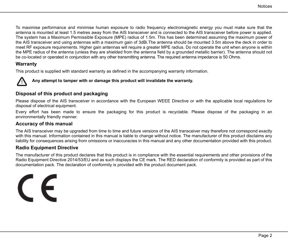To maximise performance and minimise human exposure to radio frequency electromagnetic energy you must make sure that the antenna is mounted at least 1.5 metres away from the AIS transceiver and is connected to the AIS transceiver before power is applied. The system has a Maximum Permissible Exposure (MPE) radius of 1.5m. This has been determined assuming the maximum power of the AIS transceiver and using antennas with a maximum gain of 3dBi.The antenna should be mounted 3.5m above the deck in order to meet RF exposure requirements. Higher gain antennas will require a greater MPE radius. Do not operate the unit when anyone is within the MPE radius of the antenna (unless they are shielded from the antenna field by a grounded metallic barrier). The antenna should not be co-located or operated in conjunction with any other transmitting antenna. The required antenna impedance is 50 Ohms.

#### **Warranty**

This product is supplied with standard warranty as defined in the accompanying warranty information.



**! Any attempt to tamper with or damage this product will invalidate the warranty.** 

#### **Disposal of this product and packaging**

Please dispose of the AIS transceiver in accordance with the European WEEE Directive or with the applicable local regulations for disposal of electrical equipment.

Every effort has been made to ensure the packaging for this product is recyclable. Please dispose of the packaging in an environmentally friendly manner.

#### **Accuracy of this manual**

The AIS transceiver may be upgraded from time to time and future versions of the AIS transceiver may therefore not correspond exactly with this manual. Information contained in this manual is liable to change without notice. The manufacturer of this product disclaims any liability for consequences arising from omissions or inaccuracies in this manual and any other documentation provided with this product.

#### **Radio Equipment Directive**

The manufacturer of this product declares that this product is in compliance with the essential requirements and other provisions of the Radio Equipment Directive 2014/53/EU and as such displays the CE mark. The RED declaration of conformity is provided as part of this documentation pack. The declaration of conformity is provided with the product document pack.

CE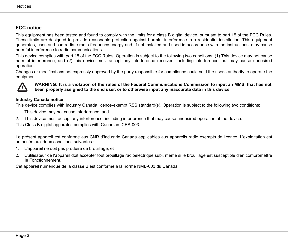#### **FCC notice**

This equipment has been tested and found to comply with the limits for a class B digital device, pursuant to part 15 of the FCC Rules. These limits are designed to provide reasonable protection against harmful interference in a residential installation. This equipment generates, uses and can radiate radio frequency energy and, if not installed and used in accordance with the instructions, may cause harmful interference to radio communications.

This device complies with part 15 of the FCC Rules. Operation is subject to the following two conditions: (1) This device may not cause harmful interference, and (2) this device must accept any interference received, including interference that may cause undesired operation.

Changes or modifications not expressly approved by the party responsible for compliance could void the user's authority to operate the equipment.



**WARNING: It is a violation of the rules of the Federal Communications Commission to input an MMSI that has not been properly assigned to the end user, or to otherwise input any inaccurate data in this device. !**

#### **Industry Canada notice**

This device complies with Industry Canada licence-exempt RSS standard(s). Operation is subject to the following two conditions:

- 1. This device may not cause interference, and
- 2. This device must accept any interference, including interference that may cause undesired operation of the device.

This Class B digital apparatus complies with Canadian ICES-003.

Le présent appareil est conforme aux CNR d'Industrie Canada applicables aux appareils radio exempts de licence. L'exploitation est autorisée aux deux conditions suivantes :

- 1. L'appareil ne doit pas produire de brouillage, et
- 2. L'utilisateur de l'appareil doit accepter tout brouillage radioélectrique subi, même si le brouillage est susceptible d'en compromettre le Fonctionnement.

Cet appareil numérique de la classe B est conforme à la norme NMB-003 du Canada.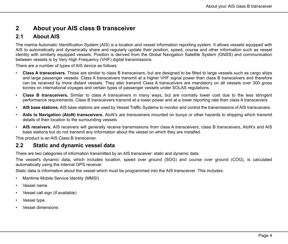## <span id="page-6-0"></span>**2 About your AIS class B transceiver**

## <span id="page-6-1"></span>**2.1 About AIS**

The marine Automatic Identification System (AIS) is a location and vessel information reporting system. It allows vessels equipped with AIS to automatically and dynamically share and regularly update their position, speed, course and other information such as vessel identity with similarly equipped vessels. Position is derived from the Global Navigation Satellite System (GNSS) and communication between vessels is by Very High Frequency (VHF) digital transmissions.

There are a number of types of AIS device as follows:

- **Class A transceivers.** These are similar to class B transceivers, but are designed to be fitted to large vessels such as cargo ships and large passenger vessels. Class A transceivers transmit at a higher VHF signal power than class B transceivers and therefore can be received by more distant vessels. They also transmit Class A transceivers are mandatory on all vessels over 300 gross tonnes on international voyages and certain types of passenger vessels under SOLAS regulations.
- **Class B transceivers.** Similar to class A transceivers in many ways, but are normally lower cost due to the less stringent performance requirements. Class B transceivers transmit at a lower power and at a lower reporting rate than class A transceivers.
- **AIS base stations.** AIS base stations are used by Vessel Traffic Systems to monitor and control the transmissions of AIS transceivers.
- **Aids to Navigation (AtoN) transceivers.** AtoN's are transceivers mounted on buoys or other hazards to shipping which transmit details of their location to the surrounding vessels.
- **AIS receivers.** AIS receivers will generally receive transmissions from class A transceivers, class B transceivers, AtoN's and AIS base stations but do not transmit any information about the vessel on which they are installed.

This product is an AIS Class B transceiver.

#### <span id="page-6-2"></span>**2.2 Static and dynamic vessel data**

There are two categories of information transmitted by an AIS transceiver: static and dynamic data.

The vessel's dynamic data, which includes location, speed over ground (SOG) and course over ground (COG), is calculated automatically using the internal GPS receiver.

Static data is information about the vessel which must be programmed into the AIS transceiver. This includes:

- Maritime Mobile Service Identity (MMSI)
- Vessel name
- Vessel call sign (if available)
- Vessel type
- Vessel dimensions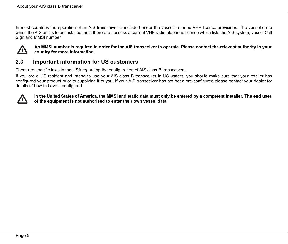In most countries the operation of an AIS transceiver is included under the vessel's marine VHF licence provisions. The vessel on to which the AIS unit is to be installed must therefore possess a current VHF radiotelephone licence which lists the AIS system, vessel Call Sign and MMSI number.



**An MMSI number is required in order for the AIS transceiver to operate. Please contact the relevant authority in your country for more information. !**

#### <span id="page-7-0"></span>**2.3 Important information for US customers**

There are specific laws in the USA regarding the configuration of AIS class B transceivers.

If you are a US resident and intend to use your AIS class B transceiver in US waters, you should make sure that your retailer has configured your product prior to supplying it to you. If your AIS transceiver has not been pre-configured please contact your dealer for details of how to have it configured.



**In the United States of America, the MMSI and static data must only be entered by a competent installer. The end user of the equipment is not authorised to enter their own vessel data. !**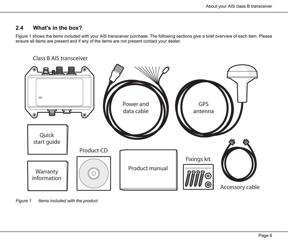#### <span id="page-8-0"></span>**2.4 What's in the box?**

[Figure 1](#page-8-1) shows the items included with your AIS transceiver purchase. The following sections give a brief overview of each item. Please ensure all items are present and if any of the items are not present contact your dealer.



<span id="page-8-1"></span>*Figure 1 Items included with the product*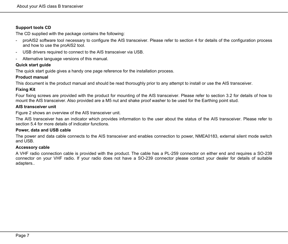#### **Support tools CD**

The CD supplied with the package contains the following:

- proAIS2 software tool necessary to configure the AIS transceiver. Please refer to section [4](#page-29-0) for details of the configuration process and how to use the proAIS2 tool.
- USB drivers required to connect to the AIS transceiver via USB.
- Alternative language versions of this manual.

#### **Quick start guide**

The quick start guide gives a handy one page reference for the installation process.

#### **Product manual**

This document is the product manual and should be read thoroughly prior to any attempt to install or use the AIS transceiver.

#### **Fixing Kit**

Four fixing screws are provided with the product for mounting of the AIS transceiver. Please refer to section [3.2](#page-15-0) for details of how to mount the AIS transceiver. Also provided are a M5 nut and shake proof washer to be used for the Earthing point stud.

#### **AIS transceiver unit**

[Figure 2](#page-10-0) shows an overview of the AIS transceiver unit.

The AIS transceiver has an indicator which provides information to the user about the status of the AIS transceiver. Please refer to section [5.4](#page-32-0) for more details of indicator functions.

#### **Power, data and USB cable**

The power and data cable connects to the AIS transceiver and enables connection to power, NMEA0183, external silent mode switch and USB.

#### **Accessory cable**

A VHF radio connection cable is provided with the product. The cable has a PL-259 connector on either end and requires a SO-239 connector on your VHF radio. If your radio does not have a SO-239 connector please contact your dealer for details of suitable adapters..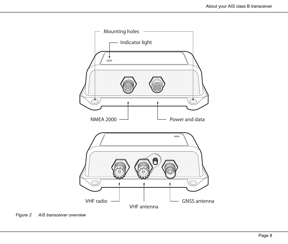<span id="page-10-0"></span>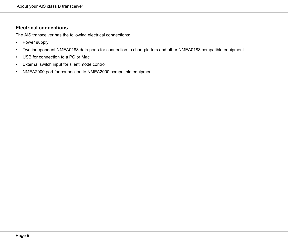#### **Electrical connections**

The AIS transceiver has the following electrical connections:

- Power supply
- Two independent NMEA0183 data ports for connection to chart plotters and other NMEA0183 compatible equipment
- USB for connection to a PC or Mac
- External switch input for silent mode control
- NMEA2000 port for connection to NMEA2000 compatible equipment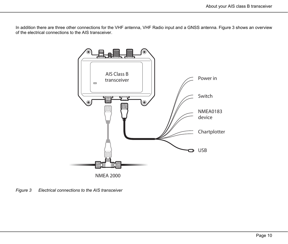In addition there are three other connections for the VHF antenna, VHF Radio input and a GNSS antenna. [Figure 3](#page-12-0) shows an overview of the electrical connections to the AIS transceiver.



<span id="page-12-0"></span>*Figure 3 Electrical connections to the AIS transceiver*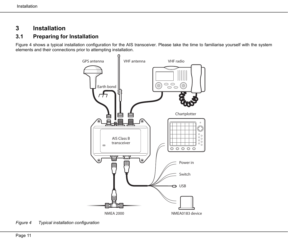#### <span id="page-13-0"></span>**3 Installation**

#### <span id="page-13-1"></span>**3.1 Preparing for Installation**

[Figure 4](#page-13-2) shows a typical installation configuration for the AIS transceiver. Please take the time to familiarise yourself with the system elements and their connections prior to attempting installation.



<span id="page-13-2"></span>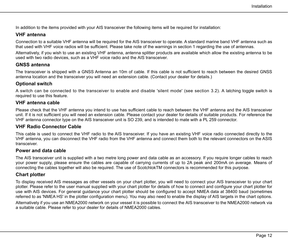In addition to the items provided with your AIS transceiver the following items will be required for installation:

#### **VHF antenna**

Connection to a suitable VHF antenna will be required for the AIS transceiver to operate. A standard marine band VHF antenna such as that used with VHF voice radios will be sufficient. Please take note of the warnings in section [1](#page-3-0) regarding the use of antennas.

Alternatively, if you wish to use an existing VHF antenna, antenna splitter products are available which allow the existing antenna to be used with two radio devices, such as a VHF voice radio and the AIS transceiver.

#### **GNSS antenna**

The transceiver is shipped with a GNSS Antenna an 10m of cable. If this cable is not sufficient to reach between the desired GNSS antenna location and the transceiver you will need an extension cable. (Contact your dealer for details.)

#### **Optional switch**

A switch can be connected to the transceiver to enable and disable 'silent mode' (see section [3.2](#page-15-0)). A latching toggle switch is required to use this feature.

#### **VHF antenna cable**

Please check that the VHF antenna you intend to use has sufficient cable to reach between the VHF antenna and the AIS transceiver unit. If it is not sufficient you will need an extension cable. Please contact your dealer for details of suitable products. For reference the VHF antenna connector type on the AIS transceiver unit is SO 239, and is intended to mate with a PL 259 connector.

#### **VHF Radio Connector Cable**

This cable is used to connect the VHF radio to the AIS transceiver. If you have an existing VHF voice radio connected directly to the VHF antenna, you can disconnect the VHF radio from the VHF antenna and connect them both to the relevant connectors on the ASIS transceiver.

#### **Power and data cable**

The AIS transceiver unit is supplied with a two metre long power and data cable as an accessory. If you require longer cables to reach your power supply, please ensure the cables are capable of carrying currents of up to 2A peak and 200mA on average. Means of connecting the cables together will also be required. The use of ScotchlokTM connectors is recommended for this purpose.

#### **Chart plotter**

To display received AIS messages as other vessels on your chart plotter, you will need to connect your AIS transceiver to your chart plotter. Please refer to the user manual supplied with your chart plotter for details of how to connect and configure your chart plotter for use with AIS devices. For general guidance your chart plotter should be configured to accept NMEA data at 38400 baud (sometimes referred to as 'NMEA HS' in the plotter configuration menu). You may also need to enable the display of AIS targets in the chart options.

Alternatively if you use an NMEA2000 network on your vessel it is possible to connect the AIS transceiver to the NMEA2000 network via a suitable cable. Please refer to your dealer for details of NMEA2000 cables.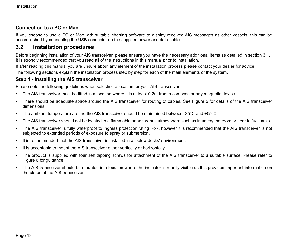#### **Connection to a PC or Mac**

If you choose to use a PC or Mac with suitable charting software to display received AIS messages as other vessels, this can be accomplished by connecting the USB connector on the supplied power and data cable.

#### <span id="page-15-0"></span>**3.2 Installation procedures**

Before beginning installation of your AIS transceiver, please ensure you have the necessary additional items as detailed in section [3.1](#page-13-1). It is strongly recommended that you read all of the instructions in this manual prior to installation.

If after reading this manual you are unsure about any element of the installation process please contact your dealer for advice.

The following sections explain the installation process step by step for each of the main elements of the system.

#### **Step 1 - Installing the AIS transceiver**

Please note the following guidelines when selecting a location for your AIS transceiver:

- The AIS transceiver must be fitted in a location where it is at least 0.2m from a compass or any magnetic device.
- There should be adequate space around the AIS transceiver for routing of cables. See [Figure 5](#page-16-0) for details of the AIS transceiver dimensions.
- The ambient temperature around the AIS transceiver should be maintained between -25°C and +55°C.
- The AIS transceiver should not be located in a flammable or hazardous atmosphere such as in an engine room or near to fuel tanks.
- The AIS transceiver is fully waterproof to ingress protection rating IPx7, however it is recommended that the AIS transceiver is not subjected to extended periods of exposure to spray or submersion.
- It is recommended that the AIS transceiver is installed in a 'below decks' environment.
- It is acceptable to mount the AIS transceiver either vertically or horizontally.
- The product is supplied with four self tapping screws for attachment of the AIS transceiver to a suitable surface. Please refer to [Figure 6](#page-17-0) for guidance.
- The AIS transceiver should be mounted in a location where the indicator is readily visible as this provides important information on the status of the AIS transceiver.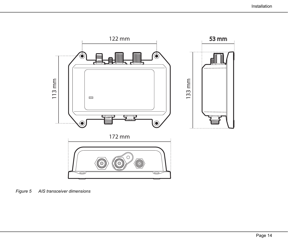

<span id="page-16-0"></span>*Figure 5 AIS transceiver dimensions*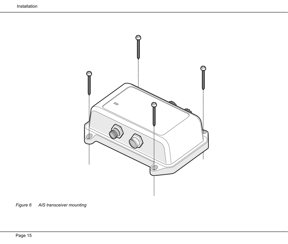

<span id="page-17-0"></span>*Figure 6 AIS transceiver mounting*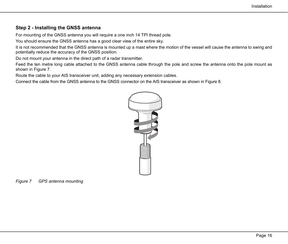#### **Step 2 - Installing the GNSS antenna**

For mounting of the GNSS antenna you will require a one inch 14 TPI thread pole.

You should ensure the GNSS antenna has a good clear view of the entire sky.

It is not recommended that the GNSS antenna is mounted up a mast where the motion of the vessel will cause the antenna to swing and potentially reduce the accuracy of the GNSS position.

Do not mount your antenna in the direct path of a radar transmitter.

Feed the ten metre long cable attached to the GNSS antenna cable through the pole and screw the antenna onto the pole mount as shown in [Figure 7.](#page-18-0)

Route the cable to your AIS transceiver unit, adding any necessary extension cables.

Connect the cable from the GNSS antenna to the GNSS connector on the AIS transceiver as shown in [Figure 8](#page-19-0).



<span id="page-18-0"></span>*Figure 7 GPS antenna mounting*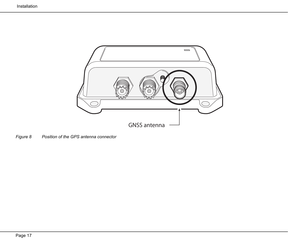<span id="page-19-0"></span>

*Figure 8 Position of the GPS antenna connector*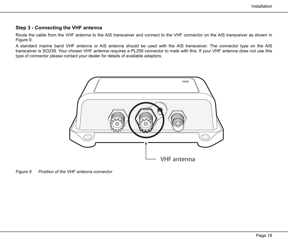#### **Step 3 - Connecting the VHF antenna**

Route the cable from the VHF antenna to the AIS transceiver and connect to the VHF connector on the AIS transceiver as shown in [Figure 9](#page-20-0).

A standard marine band VHF antenna or AIS antenna should be used with the AIS transceiver. The connector type on the AIS transceiver is SO239. Your chosen VHF antenna requires a PL259 connector to mate with this. If your VHF antenna does not use this type of connector please contact your dealer for details of available adaptors.

<span id="page-20-0"></span>

*Figure 9 Position of the VHF antenna connector*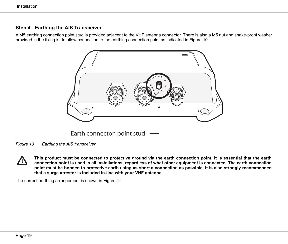#### **Step 4 - Earthing the AIS Transceiver**

A M5 earthing connection point stud is provided adjacent to the VHF antenna connector. There is also a M5 nut and shake-proof washer provided in the fixing kit to allow connection to the earthing connection point as indicated in [Figure 10](#page-21-0).



<span id="page-21-0"></span>



**This product must be connected to protective ground via the earth connection point. It is essential that the earth connection point is used in all installations, regardless of what other equipment is connected. The earth connection point must be bonded to protective earth using as short a connection as possible. It is also strongly recommended that a surge arrestor is included in-line with your VHF antenna.**

The correct earthing arrangement is shown in [Figure 11](#page-22-0).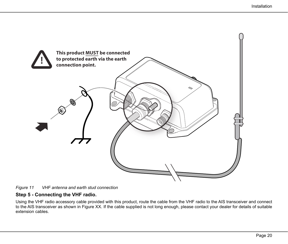

*Figure 11 VHF antenna and earth stud connection*

#### <span id="page-22-0"></span>**Step 5 - Connecting the VHF radio.**

Using the VHF radio accessory cable provided with this product, route the cable from the VHF radio to the AIS transceiver and connect to the AIS transceiver as shown in Figure XX. If the cable supplied is not long enough, please contact your dealer for details of suitable extension cables.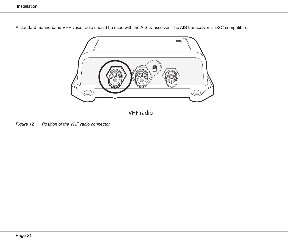

A standard marine band VHF voice radio should be used with the AIS transceiver. The AIS transceiver is DSC compatible.

<span id="page-23-0"></span>*Figure 12 Position of the VHF radio connector*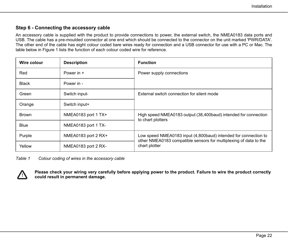#### **Step 6 - Connecting the accessory cable**

An accessory cable is supplied with the product to provide connections to power, the external switch, the NMEA0183 data ports and USB. The cable has a pre-moulded connector at one end which should be connected to the connector on the unit marked 'PWR/DATA'. The other end of the cable has eight colour coded bare wires ready for connection and a USB connector for use with a PC or Mac. The table below in [Figure 1](#page-8-1) lists the function of each colour coded wire for reference.

| Wire colour  | <b>Description</b>  | <b>Function</b>                                                                                                                      |
|--------------|---------------------|--------------------------------------------------------------------------------------------------------------------------------------|
| Red          | Power in +          | Power supply connections                                                                                                             |
| <b>Black</b> | Power in -          |                                                                                                                                      |
| Green        | Switch input-       | External switch connection for silent mode                                                                                           |
| Orange       | Switch input+       |                                                                                                                                      |
| <b>Brown</b> | NMEA0183 port 1 TX+ | High speed NMEA0183 output (38,400baud) intended for connection<br>to chart plotters                                                 |
| <b>Blue</b>  | NMEA0183 port 1 TX- |                                                                                                                                      |
| Purple       | NMEA0183 port 2 RX+ | Low speed NMEA0183 input (4,800baud) intended for connection to<br>other NMEA0183 compatible sensors for multiplexing of data to the |
| Yellow       | NMEA0183 port 2 RX- | chart plotter                                                                                                                        |

*Table 1 Colour coding of wires in the accessory cable*



**Please check your wiring very carefully before applying power to the product. Failure to wire the product correctly could result in permanent damage. !**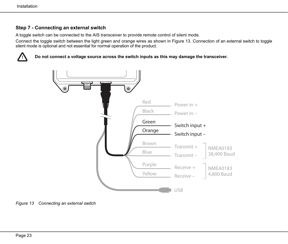#### **Step 7 - Connecting an external switch**

A toggle switch can be connected to the AIS transceiver to provide remote control of silent mode.

Connect the toggle switch between the light green and orange wires as shown in [Figure 13](#page-25-0). Connection of an external switch to toggle silent mode is optional and not essential for normal operation of the product.



**Do not connect a voltage source across the switch inputs as this may damage the transceiver. !**



<span id="page-25-0"></span>*Figure 13 Connecting an external switch*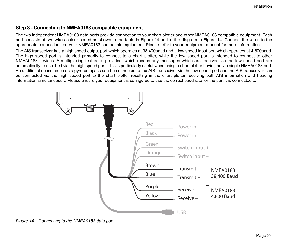#### **Step 8 - Connecting to NMEA0183 compatible equipment**

The two independent NMEA0183 data ports provide connection to your chart plotter and other NMEA0183 compatible equipment. Each port consists of two wires colour coded as shown in the table in [Figure 14](#page-26-0) and in the diagram in [Figure 14.](#page-26-0) Connect the wires to the appropriate connections on your NMEA0183 compatible equipment. Please refer to your equipment manual for more information.

The AIS transceiver has a high speed output port which operates at 38,400baud and a low speed input port which operates at 4,800baud. The high speed port is intended primarily to connect to a chart plotter, while the low speed port is intended to connect to other NMEA0183 devices. A multiplexing feature is provided, which means any messages which are received via the low speed port are automatically transmitted via the high speed port. This is particularly useful when using a chart plotter having only a single NMEA0183 port. An additional sensor such as a gyro-compass can be connected to the AIS transceiver via the low speed port and the AIS transceiver can be connected via the high speed port to the chart plotter resulting in the chart plotter receiving both AIS information and heading information simultaneously. Please ensure your equipment is configured to use the correct baud rate for the port it is connected to.



<span id="page-26-0"></span>*Figure 14 Connecting to the NMEA0183 data port*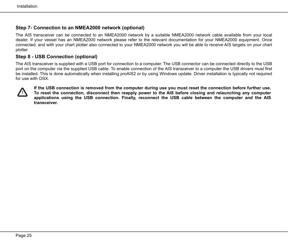#### **Step 7- Connection to an NMEA2000 network (optional)**

The AIS transceiver can be connected to an NMEA2000 network by a suitable NMEA2000 network cable available from your local dealer. If your vessel has an NMEA2000 network please refer to the relevant documentation for your NMEA2000 equipment. Once connected, and with your chart plotter also connected to your NMEA2000 network you will be able to receive AIS targets on your chart plotter.

#### **Step 8 - USB Connection (optional)**

The AIS transceiver is supplied with a USB port for connection to a computer. The USB connector can be connected directly to the USB port on the computer via the supplied USB cable. To enable connection of the AIS transceiver to a computer the USB drivers must first be installed. This is done automatically when installing proAIS2 or by using Windows update. Driver installation is typically not required for use with OSX.



**If the USB connection is removed from the computer during use you must reset the connection before further use. To reset the connection, disconnect then reapply power to the AIS before closing and relaunching any computer applications using the USB connection. Finally, reconnect the USB cable between the computer and the AIS transceiver.**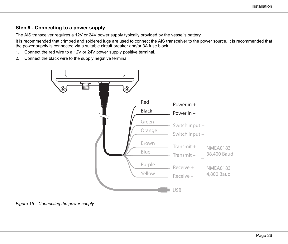#### **Step 9 - Connecting to a power supply**

The AIS transceiver requires a 12V or 24V power supply typically provided by the vessel's battery.

It is recommended that crimped and soldered lugs are used to connect the AIS transceiver to the power source. It is recommended that the power supply is connected via a suitable circuit breaker and/or 3A fuse block.

- 1. Connect the red wire to a 12V or 24V power supply positive terminal.
- 2. Connect the black wire to the supply negative terminal.



<span id="page-28-0"></span>*Figure 15 Connecting the power supply*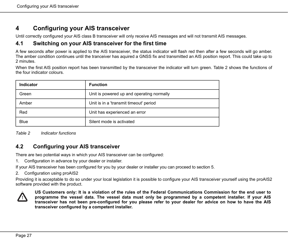## <span id="page-29-0"></span>**4 Configuring your AIS transceiver**

Until correctly configured your AIS class B transceiver will only receive AIS messages and will not transmit AIS messages.

#### <span id="page-29-1"></span>**4.1 Switching on your AIS transceiver for the first time**

A few seconds after power is applied to the AIS transceiver, the status indicator will flash red then after a few seconds will go amber. The amber condition continues until the tranceiver has aquired a GNSS fix and transmitted an AIS position report. This could take up to 2 minutes.

When the first AIS position report has been transmitted by the transceiver the indicator will turn green. [Table 2](#page-29-3) shows the functions of the four indicator colours.

| Indicator   | <b>Function</b>                           |
|-------------|-------------------------------------------|
| Green       | Unit is powered up and operating normally |
| Amber       | Unit is in a 'transmit timeout' period    |
| Red         | Unit has experienced an error             |
| <b>Blue</b> | Silent mode is activated                  |

<span id="page-29-3"></span>*Table 2 Indicator functions*

#### <span id="page-29-2"></span>**4.2 Configuring your AIS transceiver**

There are two potential ways in which your AIS transceiver can be configured:

1. Configuration in advance by your dealer or installer.

If your AIS transceiver has been configured for you by your dealer or installer you can proceed to section [5.](#page-31-0)

2. Configuration using proAIS2

Providing it is acceptable to do so under your local legislation it is possible to configure your AIS transceiver yourself using the proAIS2 software provided with the product.



**US Customers only: It is a violation of the rules of the Federal Communications Commission for the end user to programme the vessel data. The vessel data must only be programmed by a competent installer. If your AIS transceiver has not been pre-configured for you please refer to your dealer for advice on how to have the AIS transceiver configured by a competent installer.**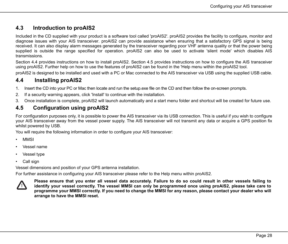#### <span id="page-30-0"></span>**4.3 Introduction to proAIS2**

Included in the CD supplied with your product is a software tool called 'proAIS2'. proAIS2 provides the facility to configure, monitor and diagnose issues with your AIS transceiver. proAIS2 can provide assistance when ensuring that a satisfactory GPS signal is being received. It can also display alarm messages generated by the transceiver regarding poor VHF antenna quality or that the power being supplied is outside the range specified for operation. proAIS2 can also be used to activate 'silent mode' which disables AIS transmissions.

Section [4.4](#page-30-1) provides instructions on how to install proAIS2. Section [4.5](#page-30-2) provides instructions on how to configure the AIS transceiver using proAIS2. Further help on how to use the features of proAIS2 can be found in the 'Help menu within the proAIS2 tool.

proAIS2 is designed to be installed and used with a PC or Mac connected to the AIS transceiver via USB using the supplied USB cable.

#### <span id="page-30-1"></span>**4.4 Installing proAIS2**

- 1. Insert the CD into your PC or Mac then locate and run the setup.exe file on the CD and then follow the on-screen prompts.
- 2. If a security warning appears, click 'Install' to continue with the installation.
- 3. Once installation is complete, proAIS2 will launch automatically and a start menu folder and shortcut will be created for future use.

#### <span id="page-30-2"></span>**4.5 Configuration using proAIS2**

For configuration purposes only, it is possible to power the AIS transceiver via its USB connection. This is useful if you wish to configure your AIS transceiver away from the vessel power supply. The AIS transceiver will not transmit any data or acquire a GPS position fix whilst powered by USB.

You will require the following information in order to configure your AIS transceiver:

- MMSI
- Vessel name
- Vessel type
- Call sign

Vessel dimensions and position of your GPS antenna installation.

For further assistance in configuring your AIS transceiver please refer to the Help menu within proAIS2.



**Please ensure that you enter all vessel data accurately. Failure to do so could result in other vessels failing to identify your vessel correctly. The vessel MMSI can only be programmed once using proAIS2, please take care to programme your MMSI correctly. If you need to change the MMSI for any reason, please contact your dealer who will arrange to have the MMSI reset.**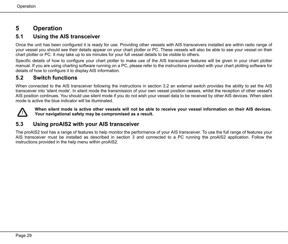## <span id="page-31-0"></span>**5 Operation**

#### <span id="page-31-1"></span>**5.1 Using the AIS transceiver**

Once the unit has been configured it is ready for use. Providing other vessels with AIS transceivers installed are within radio range of your vessel you should see their details appear on your chart plotter or PC. These vessels will also be able to see your vessel on their chart plotter or PC. It may take up to six minutes for your full vessel details to be visible to others.

Specific details of how to configure your chart plotter to make use of the AIS transceiver features will be given in your chart plotter manual. If you are using charting software running on a PC, please refer to the instructions provided with your chart plotting software for details of how to configure it to display AIS information.

### <span id="page-31-2"></span>**5.2 Switch functions**

When connected to the AIS transceiver following the instructions in section [3.2](#page-15-0) an external switch provides the ability to set the AIS transceiver into 'silent mode'. In silent mode the transmission of your own vessel position ceases, whilst the reception of other vessel's AIS position continues. You should use silent mode if you do not wish your vessel data to be received by other AIS devices. When silent mode is active the blue indicator will be illuminated.



**When silent mode is active other vessels will not be able to receive your vessel information on their AIS devices.**  $\mathbf{Y}$   $\mathbf{N}$  Your navigational safety may be compromised as a result.

#### <span id="page-31-3"></span>**5.3 Using proAIS2 with your AIS transceiver**

The proAIS2 tool has a range of features to help monitor the performance of your AIS transceiver. To use the full range of features your AIS transceiver must be installed as described in section [3](#page-13-0) and connected to a PC running the proAIS2 application. Follow the instructions provided in the help menu within proAIS2.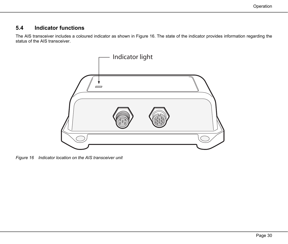#### <span id="page-32-0"></span>**5.4 Indicator functions**

The AIS transceiver includes a coloured indicator as shown in [Figure 16.](#page-32-1) The state of the indicator provides information regarding the status of the AIS transceiver.



<span id="page-32-1"></span>*Figure 16 Indicator location on the AIS transceiver unit*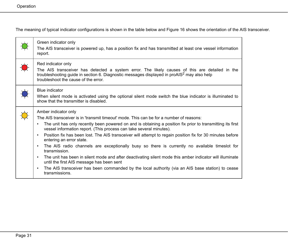The meaning of typical indicator configurations is shown in the table below and [Figure 16](#page-32-1) shows the orientation of the AIS transceiver.

| Green indicator only<br>The AIS transceiver is powered up, has a position fix and has transmitted at least one vessel information<br>report.                                                                                                                                                                                                                                                                                                                                                                                                                                                                                                                                                                                                                                                                                                                                            |
|-----------------------------------------------------------------------------------------------------------------------------------------------------------------------------------------------------------------------------------------------------------------------------------------------------------------------------------------------------------------------------------------------------------------------------------------------------------------------------------------------------------------------------------------------------------------------------------------------------------------------------------------------------------------------------------------------------------------------------------------------------------------------------------------------------------------------------------------------------------------------------------------|
| Red indicator only<br>The AIS transceiver has detected a system error. The likely causes of this are detailed in the<br>troubleshooting guide in section 6. Diagnostic messages displayed in proAIS <sup>2</sup> may also help<br>troubleshoot the cause of the error.                                                                                                                                                                                                                                                                                                                                                                                                                                                                                                                                                                                                                  |
| Blue indicator<br>When silent mode is activated using the optional silent mode switch the blue indicator is illuminated to<br>show that the transmitter is disabled.                                                                                                                                                                                                                                                                                                                                                                                                                                                                                                                                                                                                                                                                                                                    |
| Amber indicator only<br>The AIS transceiver is in 'transmit timeout' mode. This can be for a number of reasons:<br>The unit has only recently been powered on and is obtaining a position fix prior to transmitting its first<br>٠<br>vessel information report. (This process can take several minutes).<br>Position fix has been lost. The AIS transceiver will attempt to regain position fix for 30 minutes before<br>$\bullet$<br>entering an error state.<br>The AIS radio channels are exceptionally busy so there is currently no available times of for<br>٠<br>transmission.<br>The unit has been in silent mode and after deactivating silent mode this amber indicator will illuminate<br>٠<br>until the first AIS message has been sent<br>The AIS transceiver has been commanded by the local authority (via an AIS base station) to cease<br>$\bullet$<br>transmissions. |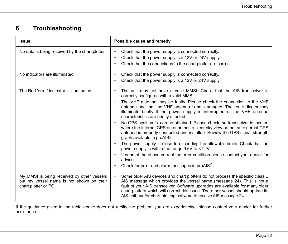## <span id="page-34-0"></span>**6 Troubleshooting**

| <b>Issue</b>                                                                                                  | Possible cause and remedy                                                                                                                                                                                                                                                                                                                                                                                                                                                                                                                                                                                                                                                                                                                                                                                                                                                                                                                                         |
|---------------------------------------------------------------------------------------------------------------|-------------------------------------------------------------------------------------------------------------------------------------------------------------------------------------------------------------------------------------------------------------------------------------------------------------------------------------------------------------------------------------------------------------------------------------------------------------------------------------------------------------------------------------------------------------------------------------------------------------------------------------------------------------------------------------------------------------------------------------------------------------------------------------------------------------------------------------------------------------------------------------------------------------------------------------------------------------------|
| No data is being received by the chart plotter                                                                | Check that the power supply is connected correctly.<br>٠<br>Check that the power supply is a 12V or 24V supply.<br>Check that the connections to the chart plotter are correct.                                                                                                                                                                                                                                                                                                                                                                                                                                                                                                                                                                                                                                                                                                                                                                                   |
| No indicators are illuminated                                                                                 | Check that the power supply is connected correctly.<br>٠<br>Check that the power supply is a 12V or 24V supply.                                                                                                                                                                                                                                                                                                                                                                                                                                                                                                                                                                                                                                                                                                                                                                                                                                                   |
| The Red 'error' indicator is illuminated                                                                      | The unit may not have a valid MMSI. Check that the AIS transceiver is<br>correctly configured with a valid MMSI.<br>The VHF antenna may be faulty. Please check the connection to the VHF<br>antenna and that the VHF antenna is not damaged. The red indicator may<br>illuminate briefly if the power supply is interrupted or the VHF antenna<br>characteristics are briefly affected.<br>No GPS position fix can be obtained. Please check the transceiver is located<br>where the internal GPS antenna has a clear sky view or that an external GPS<br>antenna is properly connected and installed. Review the GPS signal strength<br>graph available in proAIS2.<br>The power supply is close to exceeding the allowable limits. Check that the<br>power supply is within the range 9.6V to 31.2V.<br>If none of the above correct the error condition please contact your dealer for<br>advice<br>Check for error and alarm messages in proAIS <sup>2</sup> |
| My MMSI is being received by other vessels<br>but my vessel name is not shown on their<br>chart plotter or PC | Some older AIS devices and chart plotters do not process the specific class B<br>٠<br>AIS message which provides the vessel name (message 24). This is not a<br>fault of your AIS transceiver. Software upgrades are available for many older<br>chart plotters which will correct this issue. The other vessel should update its<br>AIS unit and/or chart plotting software to receive AIS message 24.                                                                                                                                                                                                                                                                                                                                                                                                                                                                                                                                                           |

If the guidance given in the table above does not rectify the problem you are experiencing, please contact your dealer for further assistance.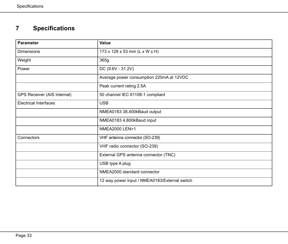## <span id="page-35-0"></span>**7 Specifications**

| <b>Parameter</b>             | Value                                         |
|------------------------------|-----------------------------------------------|
| <b>Dimensions</b>            | 173 x 128 x 53 mm (L x W x H)                 |
| Weight                       | 365g                                          |
| Power                        | DC (9.6V - 31.2V)                             |
|                              | Average power consumption 220mA at 12VDC      |
|                              | Peak current rating 2.5A                      |
| GPS Receiver (AIS Internal)  | 50 channel IEC 61108-1 compliant              |
| <b>Electrical Interfaces</b> | <b>USB</b>                                    |
|                              | NMEA0183 38,400kBaud output                   |
|                              | NMEA0183 4,800kBaud input                     |
|                              | NMEA2000 LEN=1                                |
| Connectors                   | VHF antenna connector (SO-239)                |
|                              | VHF radio connector (SO-239)                  |
|                              | External GPS antenna connector (TNC)          |
|                              | USB type A plug                               |
|                              | NMEA2000 standard connector                   |
|                              | 12 way power input / NMEA0183/External switch |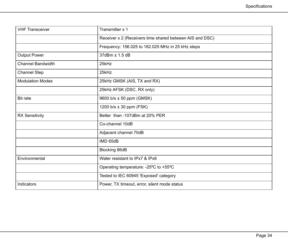| <b>VHF Transceiver</b>   | Transmitter x 1                                          |
|--------------------------|----------------------------------------------------------|
|                          | Receiver x 2 (Receivers time shared between AIS and DSC) |
|                          | Frequency: 156.025 to 162.025 MHz in 25 kHz steps        |
| Output Power             | 37dBm ± 1.5 dB                                           |
| <b>Channel Bandwidth</b> | 25kHz                                                    |
| <b>Channel Step</b>      | 25kHz                                                    |
| <b>Modulation Modes</b>  | 25kHz GMSK (AIS, TX and RX)                              |
|                          | 25kHz AFSK (DSC, RX only)                                |
| <b>Bit rate</b>          | 9600 b/s ± 50 ppm (GMSK)                                 |
|                          | 1200 b/s $\pm$ 30 ppm (FSK)                              |
| <b>RX Sensitivity</b>    | Better than -107dBm at 20% PER                           |
|                          | Co-channel 10dB                                          |
|                          | Adjacent channel 70dB                                    |
|                          | IMD 65dB                                                 |
|                          | Blocking 86dB                                            |
| Environmental            | Water resistant to IPx7 & IPx6                           |
|                          | Operating temperature: -25°C to +55°C                    |
|                          | Tested to IEC 60945 'Exposed' category                   |
| Indicators               | Power, TX timeout, error, silent mode status             |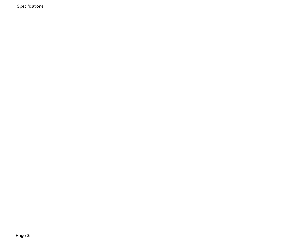Specifications